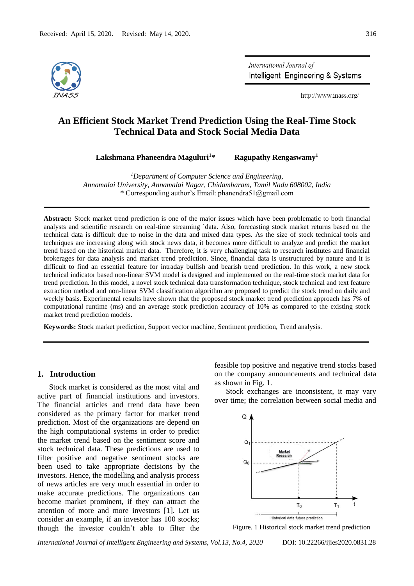

International Journal of Intelligent Engineering & Systems

http://www.inass.org/

# **An Efficient Stock Market Trend Prediction Using the Real-Time Stock Technical Data and Stock Social Media Data**

**Lakshmana Phaneendra Maguluri<sup>1</sup>\* Ragupathy Rengaswamy<sup>1</sup>**

*<sup>1</sup>Department of Computer Science and Engineering, Annamalai University, Annamalai Nagar, Chidambaram, Tamil Nadu 608002, India* \* Corresponding author's Email: phanendra51@gmail.com

**Abstract:** Stock market trend prediction is one of the major issues which have been problematic to both financial analysts and scientific research on real-time streaming `data. Also, forecasting stock market returns based on the technical data is difficult due to noise in the data and mixed data types. As the size of stock technical tools and techniques are increasing along with stock news data, it becomes more difficult to analyze and predict the market trend based on the historical market data. Therefore, it is very challenging task to research institutes and financial brokerages for data analysis and market trend prediction. Since, financial data is unstructured by nature and it is difficult to find an essential feature for intraday bullish and bearish trend prediction. In this work, a new stock technical indicator based non-linear SVM model is designed and implemented on the real-time stock market data for trend prediction. In this model, a novel stock technical data transformation technique, stock technical and text feature extraction method and non-linear SVM classification algorithm are proposed to predict the stock trend on daily and weekly basis. Experimental results have shown that the proposed stock market trend prediction approach has 7% of computational runtime (ms) and an average stock prediction accuracy of 10% as compared to the existing stock market trend prediction models.

**Keywords:** Stock market prediction, Support vector machine, Sentiment prediction, Trend analysis.

# **1. Introduction**

Stock market is considered as the most vital and active part of financial institutions and investors. The financial articles and trend data have been considered as the primary factor for market trend prediction. Most of the organizations are depend on the high computational systems in order to predict the market trend based on the sentiment score and stock technical data. These predictions are used to filter positive and negative sentiment stocks are been used to take appropriate decisions by the investors. Hence, the modelling and analysis process of news articles are very much essential in order to make accurate predictions. The organizations can become market prominent, if they can attract the attention of more and more investors [1]. Let us consider an example, if an investor has 100 stocks; though the investor couldn't able to filter the feasible top positive and negative trend stocks based on the company announcements and technical data as shown in Fig. 1.

Stock exchanges are inconsistent, it may vary over time; the correlation between social media and



Figure. 1 Historical stock market trend prediction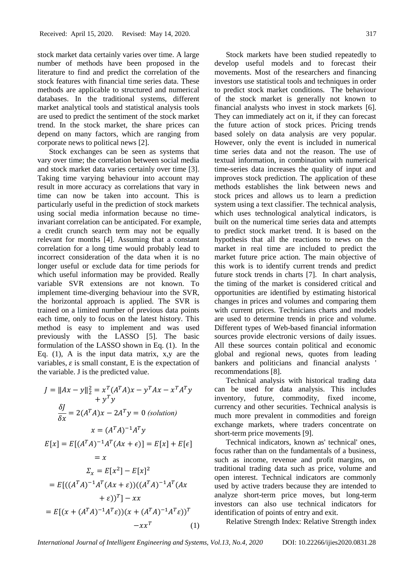stock market data certainly varies over time. A large number of methods have been proposed in the literature to find and predict the correlation of the stock features with financial time series data. These methods are applicable to structured and numerical databases. In the traditional systems, different market analytical tools and statistical analysis tools are used to predict the sentiment of the stock market trend. In the stock market, the share prices can depend on many factors, which are ranging from corporate news to political news [2].

Stock exchanges can be seen as systems that vary over time; the correlation between social media and stock market data varies certainly over time [3]. Taking time varying behaviour into account may result in more accuracy as correlations that vary in time can now be taken into account. This is particularly useful in the prediction of stock markets using social media information because no timeinvariant correlation can be anticipated. For example, a credit crunch search term may not be equally relevant for months [4]. Assuming that a constant correlation for a long time would probably lead to incorrect consideration of the data when it is no longer useful or exclude data for time periods for which useful information may be provided. Really variable SVR extensions are not known. To implement time-diverging behaviour into the SVR, the horizontal approach is applied. The SVR is trained on a limited number of previous data points each time, only to focus on the latest history. This method is easy to implement and was used previously with the LASSO [5]. The basic formulation of the LASSO shown in Eq. (1). In the Eq.  $(1)$ , A is the input data matrix, x, y are the variables,  $\varepsilon$  is small constant, E is the expectation of the variable. J is the predicted value.

$$
J = ||Ax - y||_2^2 = x^T (A^T A)x - y^T Ax - x^T A^T y
$$
  
\n
$$
+ y^T y
$$
  
\n
$$
\frac{\delta J}{\delta x} = 2(A^T A)x - 2A^T y = 0 \text{ (solution)}
$$
  
\n
$$
x = (A^T A)^{-1} A^T y
$$
  
\n
$$
E[x] = E[(A^T A)^{-1} A^T (Ax + \epsilon)] = E[x] + E[\epsilon]
$$
  
\n
$$
= x
$$
  
\n
$$
\Sigma_x = E[x^2] - E[x]^2
$$
  
\n
$$
= E[((A^T A)^{-1} A^T (Ax + \epsilon))((A^T A)^{-1} A^T (Ax + \epsilon))^T]
$$
  
\n
$$
= E[(x + (A^T A)^{-1} A^T \epsilon))(x + (A^T A)^{-1} A^T \epsilon))^T
$$
  
\n
$$
-xx^T
$$
 (1)

Stock markets have been studied repeatedly to develop useful models and to forecast their movements. Most of the researchers and financing investors use statistical tools and techniques in order to predict stock market conditions. The behaviour of the stock market is generally not known to financial analysts who invest in stock markets [6]. They can immediately act on it, if they can forecast the future action of stock prices. Pricing trends based solely on data analysis are very popular. However, only the event is included in numerical time series data and not the reason. The use of textual information, in combination with numerical time-series data increases the quality of input and improves stock prediction. The application of these methods establishes the link between news and stock prices and allows us to learn a prediction system using a text classifier. The technical analysis, which uses technological analytical indicators, is built on the numerical time series data and attempts to predict stock market trend. It is based on the hypothesis that all the reactions to news on the market in real time are included to predict the market future price action. The main objective of this work is to identify current trends and predict future stock trends in charts [7]. In chart analysis, the timing of the market is considered critical and opportunities are identified by estimating historical changes in prices and volumes and comparing them with current prices. Technicians charts and models are used to determine trends in price and volume. Different types of Web-based financial information sources provide electronic versions of daily issues. All these sources contain political and economic global and regional news, quotes from leading bankers and politicians and financial analysts ' recommendations [8].

Technical analysis with historical trading data can be used for data analysis. This includes inventory, future, commodity, fixed income, currency and other securities. Technical analysis is much more prevalent in commodities and foreign exchange markets, where traders concentrate on short-term price movements [9].

Technical indicators, known as' technical' ones, focus rather than on the fundamentals of a business, such as income, revenue and profit margins, on traditional trading data such as price, volume and open interest. Technical indicators are commonly used by active traders because they are intended to analyze short-term price moves, but long-term investors can also use technical indicators for identification of points of entry and exit.

Relative Strength Index: Relative Strength index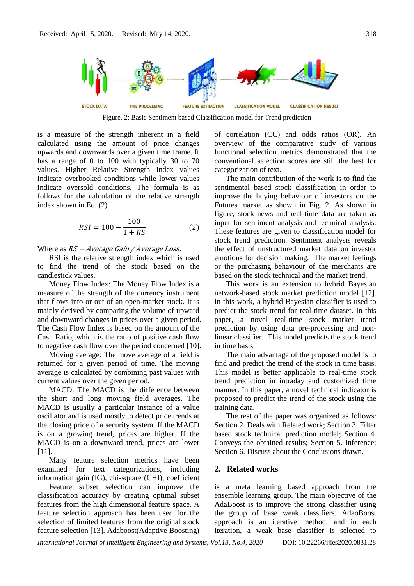

Figure. 2: Basic Sentiment based Classification model for Trend prediction

is a measure of the strength inherent in a field calculated using the amount of price changes upwards and downwards over a given time frame. It has a range of 0 to 100 with typically 30 to 70 values. Higher Relative Strength Index values indicate overbooked conditions while lower values indicate oversold conditions. The formula is as follows for the calculation of the relative strength index shown in Eq. (2)

$$
RSI = 100 - \frac{100}{1 + RS} \tag{2}
$$

Where as  $RS = Average Gain / Average Loss$ .

RSI is the relative strength index which is used to find the trend of the stock based on the candlestick values.

Money Flow Index: The Money Flow Index is a measure of the strength of the currency instrument that flows into or out of an open-market stock. It is mainly derived by comparing the volume of upward and downward changes in prices over a given period. The Cash Flow Index is based on the amount of the Cash Ratio, which is the ratio of positive cash flow to negative cash flow over the period concerned [10].

Moving average: The move average of a field is returned for a given period of time. The moving average is calculated by combining past values with current values over the given period.

MACD: The MACD is the difference between the short and long moving field averages. The MACD is usually a particular instance of a value oscillator and is used mostly to detect price trends at the closing price of a security system. If the MACD is on a growing trend, prices are higher. If the MACD is on a downward trend, prices are lower [11].

Many feature selection metrics have been examined for text categorizations, including information gain (IG), chi-square (CHI), coefficient

Feature subset selection can improve the classification accuracy by creating optimal subset features from the high dimensional feature space. A feature selection approach has been used for the selection of limited features from the original stock feature selection [13]. Adaboost(Adaptive Boosting)

of correlation (CC) and odds ratios (OR). An overview of the comparative study of various functional selection metrics demonstrated that the conventional selection scores are still the best for categorization of text.

The main contribution of the work is to find the sentimental based stock classification in order to improve the buying behaviour of investors on the Futures market as shown in Fig. 2. As shown in figure, stock news and real-time data are taken as input for sentiment analysis and technical analysis. These features are given to classification model for stock trend prediction. Sentiment analysis reveals the effect of unstructured market data on investor emotions for decision making. The market feelings or the purchasing behaviour of the merchants are based on the stock technical and the market trend.

This work is an extension to hybrid Bayesian network-based stock market prediction model [12]. In this work, a hybrid Bayesian classifier is used to predict the stock trend for real-time dataset. In this paper, a novel real-time stock market trend prediction by using data pre-processing and nonlinear classifier. This model predicts the stock trend in time basis.

The main advantage of the proposed model is to find and predict the trend of the stock in time basis. This model is better applicable to real-time stock trend prediction in intraday and customized time manner. In this paper, a novel technical indicator is proposed to predict the trend of the stock using the training data.

The rest of the paper was organized as follows: Section 2. Deals with Related work; Section 3. Filter based stock technical prediction model; Section 4. Conveys the obtained results; Section 5. Inference; Section 6. Discuss about the Conclusions drawn.

# **2. Related works**

is a meta learning based approach from the ensemble learning group. The main objective of the AdaBoost is to improve the strong classifier using the group of base weak classifiers. AdaoBoost approach is an iterative method, and in each iteration, a weak base classifier is selected to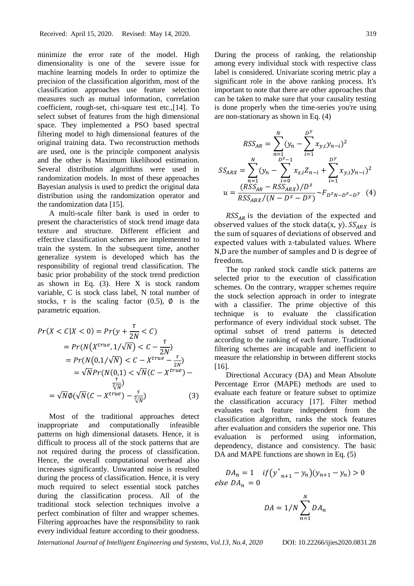minimize the error rate of the model. High dimensionality is one of the severe issue for machine learning models In order to optimize the precision of the classification algorithm, most of the classification approaches use feature selection measures such as mutual information, correlation coefficient, rough-set, chi-square test etc.,[14]. To select subset of features from the high dimensional space. They implemented a PSO based spectral filtering model to high dimensional features of the original training data. Two reconstruction methods are used, one is the principle component analysis and the other is Maximum likelihood estimation. Several distribution algorithms were used in randomization models. In most of these approaches Bayesian analysis is used to predict the original data distribution using the randomization operator and the randomization data [15].

A multi-scale filter bank is used in order to present the characteristics of stock trend image data texture and structure. Different efficient and effective classification schemes are implemented to train the system. In the subsequent time, another generalize system is developed which has the responsibility of regional trend classification. The basic prior probability of the stock trend prediction as shown in Eq.  $(3)$ . Here X is stock random variable, C is stock class label, N total number of stocks,  $\tau$  is the scaling factor (0.5),  $\phi$  is the parametric equation.

$$
Pr(X < C | X < 0) = Pr(y + \frac{\tau}{2N} < C)
$$
\n
$$
= Pr(N(X^{true}, 1/\sqrt{N}) < C - \frac{\tau}{2N})
$$
\n
$$
= Pr(N(0, 1/\sqrt{N}) < C - X^{true} - \frac{\tau}{2N})
$$
\n
$$
= \sqrt{N} Pr(N(0, 1) < \sqrt{N}(C - X^{true}) - \frac{\tau}{\sqrt[2]{N}})
$$
\n
$$
= \sqrt{N} \phi(\sqrt{N}(C - X^{true}) - \frac{\tau}{\sqrt[2]{N}}) \tag{3}
$$

Most of the traditional approaches detect inappropriate and computationally infeasible patterns on high dimensional datasets. Hence, it is difficult to process all of the stock patterns that are not required during the process of classification. Hence, the overall computational overhead also increases significantly. Unwanted noise is resulted during the process of classification. Hence, it is very much required to select essential stock patches during the classification process. All of the traditional stock selection techniques involve a perfect combination of filter and wrapper schemes. Filtering approaches have the responsibility to rank every individual feature according to their goodness.

During the process of ranking, the relationship among every individual stock with respective class label is considered. Univariate scoring metric play a significant role in the above ranking process. It's important to note that there are other approaches that can be taken to make sure that your causality testing is done properly when the time-series you're using are non-stationary as shown in Eq. (4)

$$
RSS_{AR} = \sum_{n=1}^{N} (y_n - \sum_{i=1}^{D^{\gamma}} x_{y,i} y_{n-i})^2
$$
  
\n
$$
SS_{ARX} = \sum_{n=1}^{N} (y_n - \sum_{i=0}^{D^2-1} x_{z,i} Z_{n-i} + \sum_{i=1}^{D^{\gamma}} x_{y,i} y_{n-i})^2
$$
  
\n
$$
u = \frac{(RSS_{AR} - RSS_{ARX})/D^2}{RSS_{ABX}/(N - D^2 - D^{\gamma})} \sim F_{D^2N - D^2 - D^{\gamma}}
$$
(4)

 $RSS_{AR}$  is the deviation of the expected and observed values of the stock data(x, y).  $SS_{ARX}$  is the sum of squares of deviations of observed and expected values with z-tabulated values. Where N,D are the number of samples and D is degree of freedom.

The top ranked stock candle stick patterns are selected prior to the execution of classification schemes. On the contrary, wrapper schemes require the stock selection approach in order to integrate with a classifier. The prime objective of this technique is to evaluate the classification performance of every individual stock subset. The optimal subset of trend patterns is detected according to the ranking of each feature. Traditional filtering schemes are incapable and inefficient to measure the relationship in between different stocks [16].

Directional Accuracy (DA) and Mean Absolute Percentage Error (MAPE) methods are used to evaluate each feature or feature subset to optimize the classification accuracy [17]. Filter method evaluates each feature independent from the classification algorithm, ranks the stock features after evaluation and considers the superior one. This evaluation is performed using information, dependency, distance and consistency. The basic DA and MAPE functions are shown in Eq.  $(5)$ 

$$
DA_n = 1 \quad if \left( y_{n+1}^{\wedge} - y_n \right) (y_{n+1} - y_n) > 0
$$
  
else 
$$
DA_n = 0
$$

$$
DA = 1/N \sum_{n=1}^{N} DA_n
$$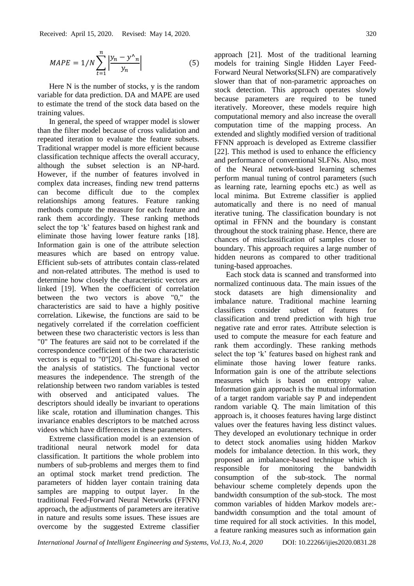$$
MAPE = 1/N \sum_{t=1}^{n} \left| \frac{y_n - y^{\lambda_n}}{y_n} \right| \tag{5}
$$

Here N is the number of stocks, y is the random variable for data prediction. DA and MAPE are used to estimate the trend of the stock data based on the training values.

In general, the speed of wrapper model is slower than the filter model because of cross validation and repeated iteration to evaluate the feature subsets. Traditional wrapper model is more efficient because classification technique affects the overall accuracy, although the subset selection is an NP-hard. However, if the number of features involved in complex data increases, finding new trend patterns can become difficult due to the complex relationships among features. Feature ranking methods compute the measure for each feature and rank them accordingly. These ranking methods select the top 'k' features based on highest rank and eliminate those having lower feature ranks [18]. Information gain is one of the attribute selection measures which are based on entropy value. Efficient sub-sets of attributes contain class-related and non-related attributes. The method is used to determine how closely the characteristic vectors are linked [19]. When the coefficient of correlation between the two vectors is above "0," the characteristics are said to have a highly positive correlation. Likewise, the functions are said to be negatively correlated if the correlation coefficient between these two characteristic vectors is less than "0" The features are said not to be correlated if the correspondence coefficient of the two characteristic vectors is equal to "0"[20]. Chi-Square is based on the analysis of statistics. The functional vector measures the independence. The strength of the relationship between two random variables is tested with observed and anticipated values. The descriptors should ideally be invariant to operations like scale, rotation and illumination changes. This invariance enables descriptors to be matched across videos which have differences in these parameters.

Extreme classification model is an extension of traditional neural network model for data classification. It partitions the whole problem into numbers of sub-problems and merges them to find an optimal stock market trend prediction. The parameters of hidden layer contain training data samples are mapping to output layer. In the traditional Feed-Forward Neural Networks (FFNN) approach, the adjustments of parameters are iterative in nature and results some issues. These issues are overcome by the suggested Extreme classifier

approach [21]. Most of the traditional learning models for training Single Hidden Layer Feed-Forward Neural Networks(SLFN) are comparatively slower than that of non-parametric approaches on stock detection. This approach operates slowly because parameters are required to be tuned iteratively. Moreover, these models require high computational memory and also increase the overall computation time of the mapping process. An extended and slightly modified version of traditional FFNN approach is developed as Extreme classifier [22]. This method is used to enhance the efficiency and performance of conventional SLFNs. Also, most of the Neural network-based learning schemes perform manual tuning of control parameters (such as learning rate, learning epochs etc.) as well as local minima. But Extreme classifier is applied automatically and there is no need of manual iterative tuning. The classification boundary is not optimal in FFNN and the boundary is constant throughout the stock training phase. Hence, there are chances of misclassification of samples closer to boundary. This approach requires a large number of hidden neurons as compared to other traditional tuning-based approaches.

Each stock data is scanned and transformed into normalized continuous data. The main issues of the stock datasets are high dimensionality and imbalance nature. Traditional machine learning classifiers consider subset of features for classification and trend prediction with high true negative rate and error rates. Attribute selection is used to compute the measure for each feature and rank them accordingly. These ranking methods select the top 'k' features based on highest rank and eliminate those having lower feature ranks. Information gain is one of the attribute selections measures which is based on entropy value. Information gain approach is the mutual information of a target random variable say P and independent random variable Q. The main limitation of this approach is, it chooses features having large distinct values over the features having less distinct values. They developed an evolutionary technique in order to detect stock anomalies using hidden Markov models for imbalance detection. In this work, they proposed an imbalance-based technique which is responsible for monitoring the bandwidth consumption of the sub-stock. The normal behaviour scheme completely depends upon the bandwidth consumption of the sub-stock. The most common variables of hidden Markov models are: bandwidth consumption and the total amount of time required for all stock activities. In this model, a feature ranking measures such as information gain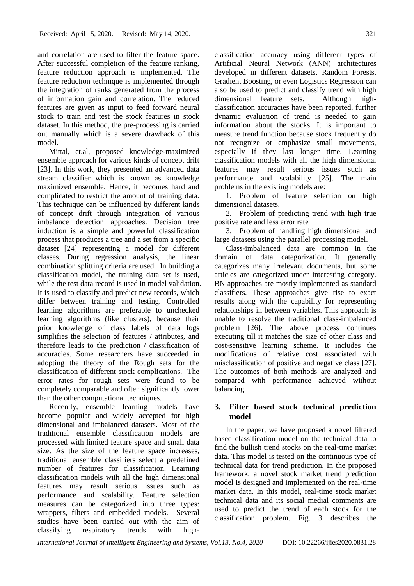and correlation are used to filter the feature space. After successful completion of the feature ranking, feature reduction approach is implemented. The feature reduction technique is implemented through the integration of ranks generated from the process of information gain and correlation. The reduced features are given as input to feed forward neural stock to train and test the stock features in stock dataset. In this method, the pre-processing is carried out manually which is a severe drawback of this model.

Mittal, et.al, proposed knowledge-maximized ensemble approach for various kinds of concept drift [23]. In this work, they presented an advanced data stream classifier which is known as knowledge maximized ensemble. Hence, it becomes hard and complicated to restrict the amount of training data. This technique can be influenced by different kinds of concept drift through integration of various imbalance detection approaches. Decision tree induction is a simple and powerful classification process that produces a tree and a set from a specific dataset [24] representing a model for different classes. During regression analysis, the linear combination splitting criteria are used. In building a classification model, the training data set is used, while the test data record is used in model validation. It is used to classify and predict new records, which differ between training and testing. Controlled learning algorithms are preferable to unchecked learning algorithms (like clusters), because their prior knowledge of class labels of data logs simplifies the selection of features / attributes, and therefore leads to the prediction / classification of accuracies. Some researchers have succeeded in adopting the theory of the Rough sets for the classification of different stock complications. The error rates for rough sets were found to be completely comparable and often significantly lower than the other computational techniques.

Recently, ensemble learning models have become popular and widely accepted for high dimensional and imbalanced datasets. Most of the traditional ensemble classification models are processed with limited feature space and small data size. As the size of the feature space increases, traditional ensemble classifiers select a predefined number of features for classification. Learning classification models with all the high dimensional features may result serious issues such as performance and scalability. Feature selection measures can be categorized into three types: wrappers, filters and embedded models. Several studies have been carried out with the aim of classifying respiratory trends with highclassification accuracy using different types of Artificial Neural Network (ANN) architectures developed in different datasets. Random Forests, Gradient Boosting, or even Logistics Regression can also be used to predict and classify trend with high dimensional feature sets. Although highclassification accuracies have been reported, further dynamic evaluation of trend is needed to gain information about the stocks. It is important to measure trend function because stock frequently do not recognize or emphasize small movements, especially if they last longer time. Learning classification models with all the high dimensional features may result serious issues such as performance and scalability [25]. The main problems in the existing models are:

1. Problem of feature selection on high dimensional datasets.

2. Problem of predicting trend with high true positive rate and less error rate

3. Problem of handling high dimensional and large datasets using the parallel processing model.

Class-imbalanced data are common in the domain of data categorization. It generally categorizes many irrelevant documents, but some articles are categorized under interesting category. BN approaches are mostly implemented as standard classifiers. These approaches give rise to exact results along with the capability for representing relationships in between variables. This approach is unable to resolve the traditional class-imbalanced problem [26]. The above process continues executing till it matches the size of other class and cost-sensitive learning scheme. It includes the modifications of relative cost associated with misclassification of positive and negative class [27]. The outcomes of both methods are analyzed and compared with performance achieved without balancing.

# **3. Filter based stock technical prediction model**

In the paper, we have proposed a novel filtered based classification model on the technical data to find the bullish trend stocks on the real-time market data. This model is tested on the continuous type of technical data for trend prediction. In the proposed framework, a novel stock market trend prediction model is designed and implemented on the real-time market data. In this model, real-time stock market technical data and its social medial comments are used to predict the trend of each stock for the classification problem. Fig. 3 describes the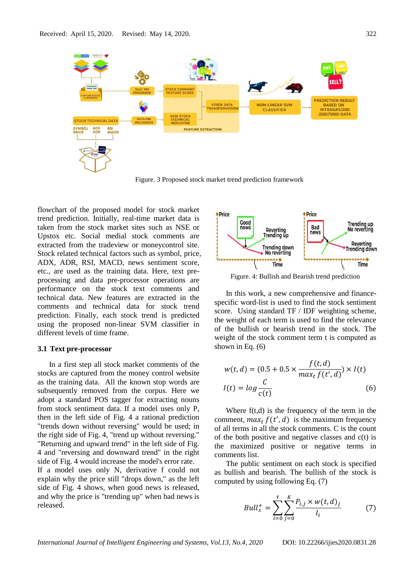

Figure. 3 Proposed stock market trend prediction framework

flowchart of the proposed model for stock market trend prediction. Initially, real-time market data is taken from the stock market sites such as NSE or Upstox etc. Social medial stock comments are extracted from the tradeview or moneycontrol site. Stock related technical factors such as symbol, price, ADX, ADR, RSI, MACD, news sentiment score, etc., are used as the training data. Here, text preprocessing and data pre-processor operations are performance on the stock text comments and technical data. New features are extracted in the comments and technical data for stock trend prediction. Finally, each stock trend is predicted using the proposed non-linear SVM classifier in different levels of time frame.

#### **3.1 Text pre-processor**

In a first step all stock market comments of the stocks are captured from the money control website as the training data. All the known stop words are subsequently removed from the corpus. Here we adopt a standard POS tagger for extracting nouns from stock sentiment data. If a model uses only P, then in the left side of Fig. 4 a rational prediction "trends down without reversing" would be used; in the right side of Fig. 4, "trend up without reversing." "Returning and upward trend" in the left side of Fig. 4 and "reversing and downward trend" in the right side of Fig. 4 would increase the model's error rate. If a model uses only N, derivative f could not explain why the price still "drops down," as the left side of Fig. 4 shows, when good news is released, and why the price is "trending up" when bad news is released.



Figure. 4: Bullish and Bearish trend prediction

In this work, a new comprehensive and financespecific word-list is used to find the stock sentiment score. Using standard TF / IDF weighting scheme, the weight of each term is used to find the relevance of the bullish or bearish trend in the stock. The weight of the stock comment term t is computed as shown in Eq. (6)

$$
w(t, d) = (0.5 + 0.5 \times \frac{f(t, d)}{\max_t f(t', d)}) \times I(t)
$$

$$
I(t) = \log \frac{C}{c(t)}
$$
(6)

Where  $f(t,d)$  is the frequency of the term in the comment,  $max_t f(t', d)$  is the maximum frequency of all terms in all the stock comments. C is the count of the both positive and negative classes and c(t) is the maximized positive or negative terms in comments list.

The public sentiment on each stock is specified as bullish and bearish. The bullish of the stock is computed by using following Eq. (7)

$$
Bulk_s^+ = \sum_{i=0}^{\tau} \sum_{j=0}^{K} \frac{P_{i,j} \times w(t,d)_j}{l_i}
$$
 (7)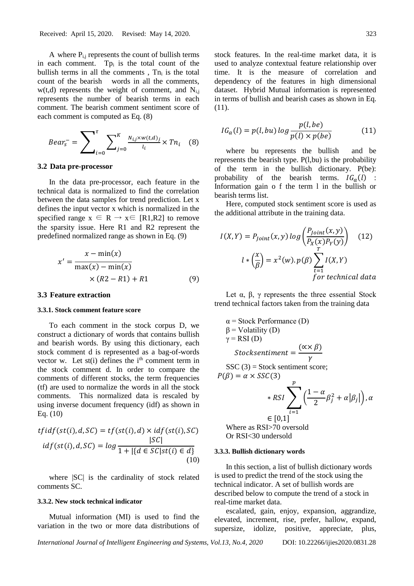A where  $P_{i,j}$  represents the count of bullish terms in each comment. Tp<sub>i</sub> is the total count of the bullish terms in all the comments,  $Tn_i$  is the total count of the bearish words in all the comments,  $w(t,d)$  represents the weight of comment, and  $N_{ij}$ represents the number of bearish terms in each comment. The bearish comment sentiment score of each comment is computed as Eq. (8)

$$
Bear_s^- = \sum_{i=0}^{\tau} \sum_{j=0}^{K} \frac{N_{i,j} \times w(t,d)_j}{l_i} \times Tn_i \quad (8)
$$

#### **3.2 Data pre-processor**

In the data pre-processor, each feature in the technical data is normalized to find the correlation between the data samples for trend prediction. Let x defines the input vector x which is normalized in the specified range  $x \in R \rightarrow x \in [R1,R2]$  to remove the sparsity issue. Here R1 and R2 represent the predefined normalized range as shown in Eq. (9)

$$
x' = \frac{x - \min(x)}{\max(x) - \min(x)}
$$
  
× (R2 - R1) + R1 (9)

#### **3.3 Feature extraction**

#### **3.3.1. Stock comment feature score**

To each comment in the stock corpus D, we construct a dictionary of words that contains bullish and bearish words. By using this dictionary, each stock comment d is represented as a bag-of-words vector w. Let  $st(i)$  defines the  $i<sup>th</sup>$  comment term in the stock comment d. In order to compare the comments of different stocks, the term frequencies (tf) are used to normalize the words in all the stock comments. This normalized data is rescaled by using inverse document frequency (idf) as shown in Eq. (10)

$$
tfidf(st(i), d, SC) = tf(st(i), d) \times idf(st(i), SC)
$$
  

$$
idf(st(i), d, SC) = log \frac{|SC|}{1 + |\{d \in SC|st(i) \in d\}}
$$
  
(10)

where |SC| is the cardinality of stock related comments SC.

#### **3.3.2. New stock technical indicator**

Mutual information (MI) is used to find the variation in the two or more data distributions of stock features. In the real-time market data, it is used to analyze contextual feature relationship over time. It is the measure of correlation and dependency of the features in high dimensional dataset. Hybrid Mutual information is represented in terms of bullish and bearish cases as shown in Eq. (11).

$$
IG_a(l) = p(l, bu) \log \frac{p(l, be)}{p(l) \times p(be)}
$$
(11)

where bu represents the bullish and be represents the bearish type. P(l,bu) is the probability of the term in the bullish dictionary. P(be): probability of the bearish terms.  $IG_{a}(l)$  : Information gain o f the term l in the bullish or bearish terms list.

Here, computed stock sentiment score is used as the additional attribute in the training data.

$$
I(X,Y) = P_{Joint}(x,y) \log \left( \frac{P_{Joint}(x,y)}{P_X(x)P_Y(y)} \right) \quad (12)
$$

$$
l * \left( \frac{x}{\beta} \right) = x^2(w).p(\beta) \sum_{t=1}^T I(X,Y)
$$
*for technical data*

Let  $\alpha$ ,  $\beta$ ,  $\gamma$  represents the three essential Stock trend technical factors taken from the training data

$$
\alpha = \text{Stock Performance (D)}
$$
\n
$$
\beta = \text{Volatility (D)}
$$
\n
$$
\gamma = \text{RSI (D)}
$$
\n
$$
\text{Stocksentiment} = \frac{(\alpha \times \beta)}{\gamma}
$$
\n
$$
\text{SSC (3)} = \text{Stock sentiment score;}
$$
\n
$$
P(\beta) = \alpha \times \text{SSC (3)}
$$

$$
*RSI
$$
  
\n
$$
*RSI
$$
  
\n
$$
= [0,1]
$$
  
\n
$$
e
$$
  
\n
$$
e
$$
  
\n
$$
[0,1]
$$
  
\n
$$
e
$$
  
\n
$$
[0,1]
$$
  
\n
$$
e
$$
  
\n
$$
[0,1]
$$
  
\n
$$
e
$$
  
\n
$$
[0,1]
$$
  
\n
$$
e
$$
  
\n
$$
[0,1]
$$

Where as RSI>70 oversold Or RSI<30 undersold

#### **3.3.3. Bullish dictionary words**

In this section, a list of bullish dictionary words is used to predict the trend of the stock using the technical indicator. A set of bullish words are described below to compute the trend of a stock in real-time market data.

escalated, gain, enjoy, expansion, aggrandize, elevated, increment, rise, prefer, hallow, expand, supersize, idolize, positive, appreciate, plus,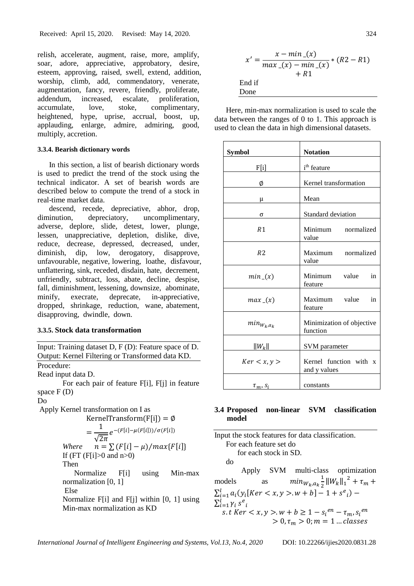relish, accelerate, augment, raise, more, amplify, soar, adore, appreciative, approbatory, desire, esteem, approving, raised, swell, extend, addition, worship, climb, add, commendatory, venerate, augmentation, fancy, revere, friendly, proliferate, addendum, increased, escalate, proliferation, accumulate, love, stoke, complimentary, heightened, hype, uprise, accrual, boost, up, applauding, enlarge, admire, admiring, good, multiply, accretion.

#### **3.3.4. Bearish dictionary words**

In this section, a list of bearish dictionary words is used to predict the trend of the stock using the technical indicator. A set of bearish words are described below to compute the trend of a stock in real-time market data.

descend, recede, depreciative, abhor, drop, diminution, depreciatory, uncomplimentary, adverse, deplore, slide, detest, lower, plunge, lessen, unappreciative, depletion, dislike, dive, reduce, decrease, depressed, decreased, under, diminish, dip, low, derogatory, disapprove, unfavourable, negative, lowering, loathe, disfavour, unflattering, sink, receded, disdain, hate, decrement, unfriendly, subtract, loss, abate, decline, despise, fall, diminishment, lessening, downsize, abominate, minify, execrate, deprecate, in-appreciative, dropped, shrinkage, reduction, wane, abatement, disapproving, dwindle, down.

#### **3.3.5. Stock data transformation**

Input: Training dataset D, F (D): Feature space of D. Output: Kernel Filtering or Transformed data KD.

Procedure:

Read input data D.

For each pair of feature F[i], F[j] in feature space F (D)

Do

Apply Kernel transformation on I as

$$
KernelTransform(F[i]) = \emptyset
$$

$$
= \frac{1}{\sqrt{2\pi}} e^{-(F[i] - \mu(F[i]))/\sigma(F[i])}
$$
  
Where  $n = \sum (F[i] - \mu) / max\{F[i]\}$   
If (FT (F[i]>0 and n>0))  
Then

 Normalize F[i] using Min-max normalization [0, 1] Else

Normalize F[i] and F[i] within [0, 1] using Min-max normalization as KD

$$
x' = \frac{x - \min(x)}{\max(x) - \min(x)} * (R2 - R1)
$$
  
+ R1  
End if  
Done

Here, min-max normalization is used to scale the data between the ranges of 0 to 1. This approach is used to clean the data in high dimensional datasets.

| <b>Symbol</b>    | <b>Notation</b>                        |  |  |  |  |  |
|------------------|----------------------------------------|--|--|--|--|--|
| F[i]             | i <sup>th</sup> feature                |  |  |  |  |  |
| Ø                | Kernel transformation                  |  |  |  |  |  |
| μ                | Mean                                   |  |  |  |  |  |
| σ                | Standard deviation                     |  |  |  |  |  |
| R <sub>1</sub>   | Minimum<br>normalized<br>value         |  |  |  |  |  |
| R <sub>2</sub>   | Maximum<br>normalized<br>value         |  |  |  |  |  |
| $min_{-}(x)$     | Minimum value<br>in<br>feature         |  |  |  |  |  |
| $max_{x}(x)$     | Maximum value<br>in<br>feature         |  |  |  |  |  |
| $min_{W_k, a_k}$ | Minimization of objective<br>function  |  |  |  |  |  |
| $  W_k  $        | SVM parameter                          |  |  |  |  |  |
| Ker < x, y >     | Kernel function with x<br>and y values |  |  |  |  |  |
| $\tau_m$ , $s_i$ | constants                              |  |  |  |  |  |

# **3.4 Proposed non-linear SVM classification model**

Input the stock features for data classification. For each feature set do for each stock in SD. do Apply SVM multi-class optimization models as  $min_{W_k, a_k} \frac{1}{2}$  $\frac{1}{2}||W_k||_1^2 + \tau_m +$  $\sum_{i=1}^{l} a_i (y_i [Ker < x, y > w + b] - 1 + s^e_i) \sum_{i=1}^l \gamma_i s^e_i$ s. t Ker  $\langle x, y \rangle$ .  $w + b \ge 1 - s_i^{en} - \tau_m s_i^{en}$  $> 0, \tau_m > 0; m = 1 ... classes$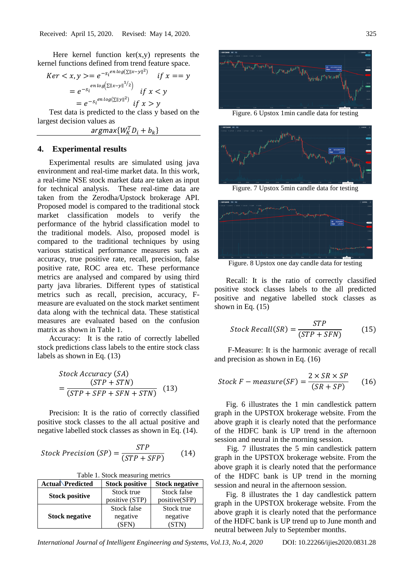Here kernel function  $ker(x, y)$  represents the kernel functions defined from trend feature space.

$$
Ker < x, y> = e^{-s_i^{en \log(\sum ||x-y||^2)}} \quad \text{if } x = y
$$
\n
$$
= e^{-s_i^{en \log(\sum ||x-y||^{1/2})}} \quad \text{if } x < y
$$
\n
$$
= e^{-s_i^{en \log(\sum ||y||^2)}} \quad \text{if } x > y
$$

Test data is predicted to the class y based on the largest decision values as

 $argmax\{W_K^TD_i + b_k\}$ 

# **4. Experimental results**

Experimental results are simulated using java environment and real-time market data. In this work, a real-time NSE stock market data are taken as input for technical analysis. These real-time data are taken from the Zerodha/Upstock brokerage API. Proposed model is compared to the traditional stock market classification models to verify the performance of the hybrid classification model to the traditional models. Also, proposed model is compared to the traditional techniques by using various statistical performance measures such as accuracy, true positive rate, recall, precision, false positive rate, ROC area etc. These performance metrics are analysed and compared by using third party java libraries. Different types of statistical metrics such as recall, precision, accuracy, Fmeasure are evaluated on the stock market sentiment data along with the technical data. These statistical measures are evaluated based on the confusion matrix as shown in Table 1.

Accuracy: It is the ratio of correctly labelled stock predictions class labels to the entire stock class labels as shown in Eq. (13)

$$
Stock Accuracy (SA)
$$
  
= 
$$
\frac{(STP + STN)}{(STP + SFP + SFN + STN)}
$$
 (13)

Precision: It is the ratio of correctly classified positive stock classes to the all actual positive and negative labelled stock classes as shown in Eq. (14).

$$
Stock Precision (SP) = \frac{STP}{(STP + SFP)}
$$
 (14)

Table 1. Stock measuring metrics

| <b>Actual Predicted</b> | <b>Stock positive</b> | <b>Stock negative</b> |  |
|-------------------------|-----------------------|-----------------------|--|
| <b>Stock positive</b>   | Stock true            | Stock false           |  |
|                         | positive (STP)        | positive(SFP)         |  |
|                         | Stock false           | Stock true            |  |
| <b>Stock negative</b>   | negative              | negative              |  |
|                         | (SFN)                 | (STN                  |  |



Figure. 6 Upstox 1min candle data for testing



Figure. 7 Upstox 5min candle data for testing



Figure. 8 Upstox one day candle data for testing

Recall: It is the ratio of correctly classified positive stock classes labels to the all predicted positive and negative labelled stock classes as shown in Eq. (15)

$$
Stock\ Recall(SR) = \frac{STP}{(STP + SFN)}
$$
(15)

F-Measure: It is the harmonic average of recall and precision as shown in Eq. (16)

$$
Stock F - measure(SF) = \frac{2 \times SR \times SP}{(SR + SP)} \tag{16}
$$

Fig. 6 illustrates the 1 min candlestick pattern graph in the UPSTOX brokerage website. From the above graph it is clearly noted that the performance of the HDFC bank is UP trend in the afternoon session and neural in the morning session.

Fig. 7 illustrates the 5 min candlestick pattern graph in the UPSTOX brokerage website. From the above graph it is clearly noted that the performance of the HDFC bank is UP trend in the morning session and neural in the afternoon session.

Fig. 8 illustrates the 1 day candlestick pattern graph in the UPSTOX brokerage website. From the above graph it is clearly noted that the performance of the HDFC bank is UP trend up to June month and neutral between July to September months.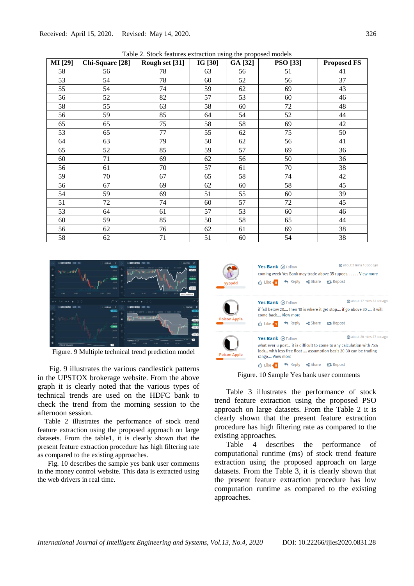Table 2. Stock features extraction using the proposed models

| <b>MI</b> [29] | Chi-Square [28] | Rough set [31] | IG [30] | GA [32] | <b>PSO</b> [33] | <b>Proposed FS</b> |
|----------------|-----------------|----------------|---------|---------|-----------------|--------------------|
| 58             | 56              | 78             | 63      | 56      | 51              | 41                 |
| 53             | 54              | 78             | 60      | 52      | 56              | 37                 |
| 55             | 54              | 74             | 59      | 62      | 69              | 43                 |
| 56             | 52              | 82             | 57      | 53      | 60              | 46                 |
| 58             | 55              | 63             | 58      | 60      | $72\,$          | 48                 |
| 56             | 59              | 85             | 64      | 54      | 52              | 44                 |
| 65             | 65              | 75             | 58      | 58      | 69              | 42                 |
| 53             | 65              | 77             | 55      | 62      | 75              | 50                 |
| 64             | 63              | 79             | 50      | 62      | 56              | 41                 |
| 65             | 52              | 85             | 59      | 57      | 69              | 36                 |
| 60             | 71              | 69             | 62      | 56      | 50              | 36                 |
| 56             | 61              | 70             | 57      | 61      | 70              | 38                 |
| 59             | 70              | 67             | 65      | 58      | 74              | 42                 |
| 56             | 67              | 69             | 62      | 60      | 58              | 45                 |
| 54             | 59              | 69             | 51      | 55      | 60              | 39                 |
| 51             | 72              | 74             | 60      | 57      | 72              | 45                 |
| 53             | 64              | 61             | 57      | 53      | 60              | 46                 |
| 60             | 59              | 85             | 50      | 58      | 65              | 44                 |
| 56             | 62              | 76             | 62      | 61      | 69              | 38                 |
| 58             | 62              | 71             | 51      | 60      | 54              | 38                 |



Figure. 9 Multiple technical trend prediction model

Fig. 9 illustrates the various candlestick patterns in the UPSTOX brokerage website. From the above graph it is clearly noted that the various types of technical trends are used on the HDFC bank to check the trend from the morning session to the afternoon session.

Table 2 illustrates the performance of stock trend feature extraction using the proposed approach on large datasets. From the table1, it is clearly shown that the present feature extraction procedure has high filtering rate as compared to the existing approaches.

Fig. 10 describes the sample yes bank user comments in the money control website. This data is extracted using the web drivers in real time.



Figure. 10 Sample Yes bank user comments

Table 3 illustrates the performance of stock trend feature extraction using the proposed PSO approach on large datasets. From the Table 2 it is clearly shown that the present feature extraction procedure has high filtering rate as compared to the existing approaches.

Table 4 describes the performance of computational runtime (ms) of stock trend feature extraction using the proposed approach on large datasets. From the Table 3, it is clearly shown that the present feature extraction procedure has low computation runtime as compared to the existing approaches.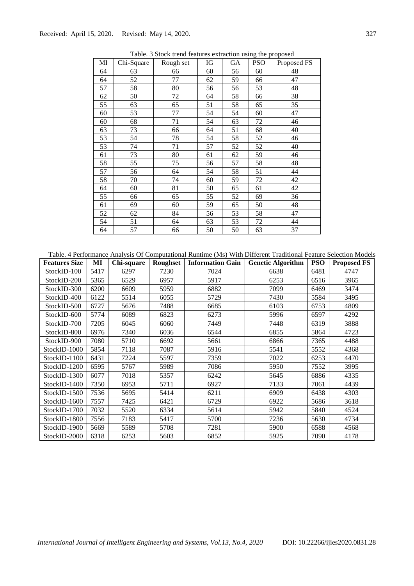| MI | Chi-Square | Rough set | IG | GA | <b>PSO</b> | Proposed FS |
|----|------------|-----------|----|----|------------|-------------|
| 64 | 63         | 66        | 60 | 56 | 60         | 48          |
| 64 | 52         | 77        | 62 | 59 | 66         | 47          |
| 57 | 58         | 80        | 56 | 56 | 53         | 48          |
| 62 | 50         | 72        | 64 | 58 | 66         | 38          |
| 55 | 63         | 65        | 51 | 58 | 65         | 35          |
| 60 | 53         | 77        | 54 | 54 | 60         | 47          |
| 60 | 68         | 71        | 54 | 63 | 72         | 46          |
| 63 | 73         | 66        | 64 | 51 | 68         | 40          |
| 53 | 54         | 78        | 54 | 58 | 52         | 46          |
| 53 | 74         | 71        | 57 | 52 | 52         | 40          |
| 61 | 73         | 80        | 61 | 62 | 59         | 46          |
| 58 | 55         | 75        | 56 | 57 | 58         | 48          |
| 57 | 56         | 64        | 54 | 58 | 51         | 44          |
| 58 | 70         | 74        | 60 | 59 | 72         | 42          |
| 64 | 60         | 81        | 50 | 65 | 61         | 42          |
| 55 | 66         | 65        | 55 | 52 | 69         | 36          |
| 61 | 69         | 60        | 59 | 65 | 50         | 48          |
| 52 | 62         | 84        | 56 | 53 | 58         | 47          |
| 54 | 51         | 64        | 63 | 53 | 72         | 44          |
| 64 | 57         | 66        | 50 | 50 | 63         | 37          |

Table. 3 Stock trend features extraction using the proposed

| Table. 4 Performance Analysis Of Computational Runtime (Ms) With Different Traditional Feature Selection Models |      |            |          |                         |                          |            |                    |
|-----------------------------------------------------------------------------------------------------------------|------|------------|----------|-------------------------|--------------------------|------------|--------------------|
| <b>Features Size</b>                                                                                            | MI   | Chi-square | Roughset | <b>Information Gain</b> | <b>Genetic Algorithm</b> | <b>PSO</b> | <b>Proposed FS</b> |
| StockID-100                                                                                                     | 5417 | 6297       | 7230     | 7024                    | 6638                     | 6481       | 4747               |
| StockID-200                                                                                                     | 5365 | 6529       | 6957     | 5917                    | 6253                     | 6516       | 3965               |
| StockID-300                                                                                                     | 6200 | 6609       | 5959     | 6882                    | 7099                     | 6469       | 3474               |
| StockID-400                                                                                                     | 6122 | 5514       | 6055     | 5729                    | 7430                     | 5584       | 3495               |
| StockID-500                                                                                                     | 6727 | 5676       | 7488     | 6685                    | 6103                     | 6753       | 4809               |
| StockID-600                                                                                                     | 5774 | 6089       | 6823     | 6273                    | 5996                     | 6597       | 4292               |
| StockID-700                                                                                                     | 7205 | 6045       | 6060     | 7449                    | 7448                     | 6319       | 3888               |
| StockID-800                                                                                                     | 6976 | 7340       | 6036     | 6544                    | 6855                     | 5864       | 4723               |
| StockID-900                                                                                                     | 7080 | 5710       | 6692     | 5661                    | 6866                     | 7365       | 4488               |
| StockID-1000                                                                                                    | 5854 | 7118       | 7087     | 5916                    | 5541                     | 5552       | 4368               |
| StockID-1100                                                                                                    | 6431 | 7224       | 5597     | 7359                    | 7022                     | 6253       | 4470               |
| StockID-1200                                                                                                    | 6595 | 5767       | 5989     | 7086                    | 5950                     | 7552       | 3995               |
| StockID-1300                                                                                                    | 6077 | 7018       | 5357     | 6242                    | 5645                     | 6886       | 4335               |
| StockID-1400                                                                                                    | 7350 | 6953       | 5711     | 6927                    | 7133                     | 7061       | 4439               |
| StockID-1500                                                                                                    | 7536 | 5695       | 5414     | 6211                    | 6909                     | 6438       | 4303               |
| StockID-1600                                                                                                    | 7557 | 7425       | 6421     | 6729                    | 6922                     | 5686       | 3618               |
| StockID-1700                                                                                                    | 7032 | 5520       | 6334     | 5614                    | 5942                     | 5840       | 4524               |
| StockID-1800                                                                                                    | 7556 | 7183       | 5417     | 5700                    | 7236                     | 5630       | 4734               |
| StockID-1900                                                                                                    | 5669 | 5589       | 5708     | 7281                    | 5900                     | 6588       | 4568               |
| StockID-2000                                                                                                    | 6318 | 6253       | 5603     | 6852                    | 5925                     | 7090       | 4178               |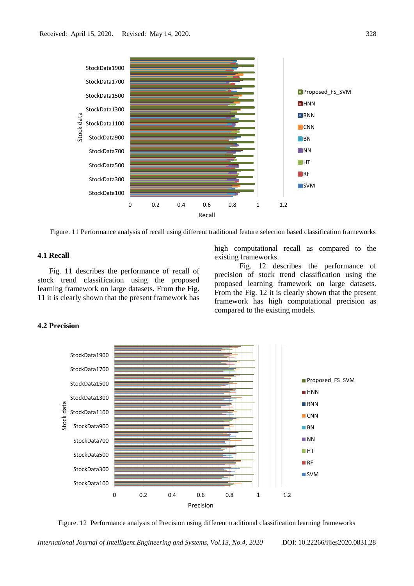

Figure. 11 Performance analysis of recall using different traditional feature selection based classification frameworks

# **4.1 Recall**

Fig. 11 describes the performance of recall of stock trend classification using the proposed learning framework on large datasets. From the Fig. 11 it is clearly shown that the present framework has high computational recall as compared to the existing frameworks.

Fig. 12 describes the performance of precision of stock trend classification using the proposed learning framework on large datasets. From the Fig. 12 it is clearly shown that the present framework has high computational precision as compared to the existing models.

### **4.2 Precision**



Figure. 12 Performance analysis of Precision using different traditional classification learning frameworks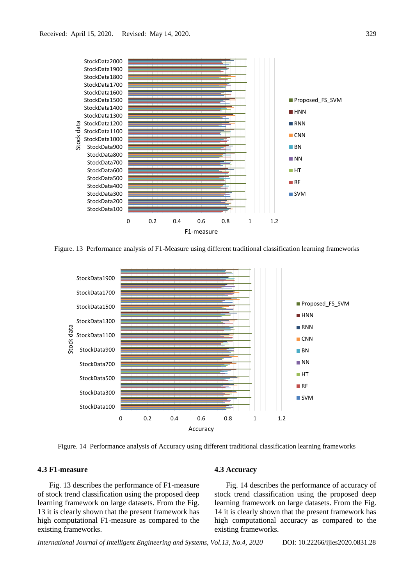

Figure. 13 Performance analysis of F1-Measure using different traditional classification learning frameworks



Figure. 14 Performance analysis of Accuracy using different traditional classification learning frameworks

### **4.3 F1-measure**

Fig. 13 describes the performance of F1-measure of stock trend classification using the proposed deep learning framework on large datasets. From the Fig. 13 it is clearly shown that the present framework has high computational F1-measure as compared to the existing frameworks.

#### **4.3 Accuracy**

Fig. 14 describes the performance of accuracy of stock trend classification using the proposed deep learning framework on large datasets. From the Fig. 14 it is clearly shown that the present framework has high computational accuracy as compared to the existing frameworks.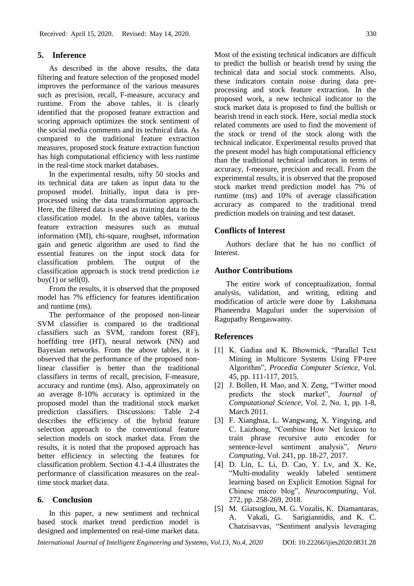# **5. Inference**

As described in the above results, the data filtering and feature selection of the proposed model improves the performance of the various measures such as precision, recall, F-measure, accuracy and runtime. From the above tables, it is clearly identified that the proposed feature extraction and scoring approach optimizes the stock sentiment of the social media comments and its technical data. As compared to the traditional feature extraction measures, proposed stock feature extraction function has high computational efficiency with less runtime in the real-time stock market databases.

In the experimental results, nifty 50 stocks and its technical data are taken as input data to the proposed model. Initially, input data is preprocessed using the data transformation approach. Here, the filtered data is used as training data to the classification model. In the above tables, various feature extraction measures such as mutual information (MI), chi-square, roughset, information gain and genetic algorithm are used to find the essential features on the input stock data for classification problem. The output of the classification approach is stock trend prediction i.e buy(1) or sell $(0)$ .

From the results, it is observed that the proposed model has 7% efficiency for features identification and runtime (ms).

The performance of the proposed non-linear SVM classifier is compared to the traditional classifiers such as SVM, random forest (RF), hoeffding tree (HT), neural network (NN) and Bayesian networks. From the above tables, it is observed that the performance of the proposed nonlinear classifier is better than the traditional classifiers in terms of recall, precision, F-measure, accuracy and runtime (ms). Also, approximately on an average 8-10% accuracy is optimized in the proposed model than the traditional stock market prediction classifiers. Discussions: Table 2-4 describes the efficiency of the hybrid feature selection approach to the conventional feature selection models on stock market data. From the results, it is noted that the proposed approach has better efficiency in selecting the features for classification problem. Section 4.1-4.4 illustrates the performance of classification measures on the realtime stock market data.

# **6. Conclusion**

In this paper, a new sentiment and technical based stock market trend prediction model is designed and implemented on real-time market data.

Most of the existing technical indicators are difficult to predict the bullish or bearish trend by using the technical data and social stock comments. Also, these indicators contain noise during data preprocessing and stock feature extraction. In the proposed work, a new technical indicator to the stock market data is proposed to find the bullish or bearish trend in each stock. Here, social media stock related comments are used to find the movement of the stock or trend of the stock along with the technical indicator. Experimental results proved that the present model has high computational efficiency than the traditional technical indicators in terms of accuracy, f-measure, precision and recall. From the experimental results, it is observed that the proposed stock market trend prediction model has 7% of runtime (ms) and 10% of average classification accuracy as compared to the traditional trend prediction models on training and test dataset.

#### **Conflicts of Interest**

Authors declare that he has no conflict of Interest.

### **Author Contributions**

The entire work of conceptualization, formal analysis, validation, and writing, editing and modification of article were done by Lakshmana Phaneendra Maguluri under the supervision of Ragupathy Rengaswamy.

#### **References**

- [1] K. Gadiaa and K. Bhowmick, "Parallel Text Mining in Multicore Systems Using FP-tree Algorithm", *Procedia Computer Science,* Vol. 45, pp. 111-117, 2015.
- [2] J. Bollen, H. Mao, and X. Zeng, "Twitter mood predicts the stock market", *Journal of Computational Science*, Vol. 2, No. 1, pp. 1-8, March 2011.
- [3] F. Xianghua, L. Wangwang, X. Yingying, and C. Laizhong, "Combine How Net lexicon to train phrase recursive auto encoder for sentence-level sentiment analysis", *Neuro Computing*, Vol. 241, pp. 18-27, 2017.
- [4] D. Lin, L. Li, D. Cao, Y. Lv, and X. Ke, "Multi-modality weakly labeled sentiment learning based on Explicit Emotion Signal for Chinese micro blog", *Neurocomputing*, Vol. 272, pp. 258-269, 2018.
- [5] M. Giatsoglou, M. G. Vozalis, K. Diamantaras, A. Vakali, G. Sarigiannidis, and K. C. Chatzisavvas, "Sentiment analysis leveraging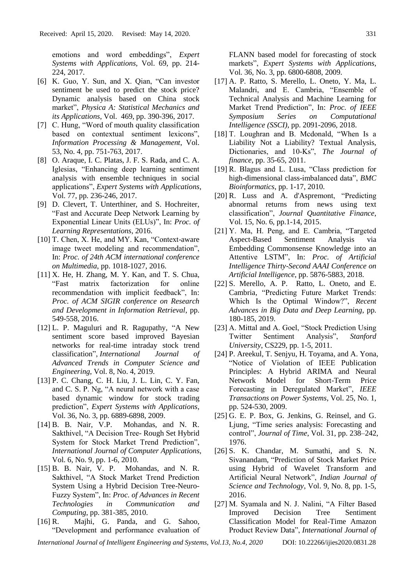emotions and word embeddings", *Expert Systems with Applications*, Vol. 69, pp. 214- 224, 2017.

- [6] K. Guo, Y. Sun, and X. Qian, "Can investor sentiment be used to predict the stock price? Dynamic analysis based on China stock market", *Physica A: Statistical Mechanics and its Applications*, Vol. 469, pp. 390-396, 2017.
- [7] C. Hung, "Word of mouth quality classification based on contextual sentiment lexicons", *Information Processing & Management*, Vol. 53, No. 4, pp. 751-763, 2017.
- [8] O. Araque, I. C. Platas, J. F. S. Rada, and C. A. Iglesias, "Enhancing deep learning sentiment analysis with ensemble techniques in social applications", *Expert Systems with Applications*, Vol. 77, pp. 236-246, 2017.
- [9] D. Clevert, T. Unterthiner, and S. Hochreiter, "Fast and Accurate Deep Network Learning by Exponential Linear Units (ELUs)", In: *Proc. of Learning Representations*, 2016.
- [10] T. Chen, X. He, and MY. Kan, "Context-aware" image tweet modeling and recommendation", In: *Proc. of 24th ACM international conference on Multimedia*, pp. 1018-1027, 2016.
- [11] X. He, H. Zhang, M. Y. Kan, and T. S. Chua, "Fast matrix factorization for online recommendation with implicit feedback", In: *Proc. of ACM SIGIR conference on Research and Development in Information Retrieval*, pp. 549-558, 2016.
- [12] L. P. Maguluri and R. Ragupathy, "A New sentiment score based improved Bayesian networks for real-time intraday stock trend classification", *International Journal of Advanced Trends in Computer Science and Engineering*, Vol. 8, No. 4, 2019.
- [13] P. C. Chang, C. H. Liu, J. L. Lin, C. Y. Fan, and C. S. P. Ng, "A neural network with a case based dynamic window for stock trading prediction", *Expert Systems with Applications*, Vol. 36, No. 3, pp. 6889-6898, 2009.
- [14] B. B. Nair, V.P. Mohandas, and N. R. Sakthivel, "A Decision Tree- Rough Set Hybrid System for Stock Market Trend Prediction", *International Journal of Computer Applications*, Vol. 6, No. 9, pp. 1-6, 2010.
- [15] B. B. Nair, V. P. Mohandas, and N. R. Sakthivel, "A Stock Market Trend Prediction System Using a Hybrid Decision Tree-Neuro-Fuzzy System", In: *Proc. of Advances in Recent Technologies in Communication and Computing*, pp. 381-385, 2010.
- [16] R. Majhi, G. Panda, and G. Sahoo, "Development and performance evaluation of

FLANN based model for forecasting of stock markets", *Expert Systems with Applications*, Vol. 36, No. 3, pp. 6800-6808, 2009.

- [17] A. P. Ratto, S. Merello, L. Oneto, Y. Ma, L. Malandri, and E. Cambria, "Ensemble of Technical Analysis and Machine Learning for Market Trend Prediction", In: *Proc. of IEEE Symposium Series on Computational Intelligence (SSCI)*, pp. 2091-2096, 2018.
- [18] T. Loughran and B. Mcdonald, "When Is a Liability Not a Liability? Textual Analysis, Dictionaries, and 10‐Ks", *The Journal of finance*, pp. 35-65, 2011.
- [19] R. Blagus and L. Lusa, "Class prediction for high-dimensional class-imbalanced data", *BMC Bioinformatics*, pp. 1-17, 2010.
- [20] R. Luss and A. d'Aspremont, "Predicting abnormal returns from news using text classification", *Journal Quantitative Finance*, Vol. 15, No. 6, pp.1-14, 2015.
- [21] Y. Ma, H. Peng, and E. Cambria, "Targeted Aspect-Based Sentiment Analysis via Embedding Commonsense Knowledge into an Attentive LSTM", In: *Proc. of Artificial Intelligence Thirty-Second AAAI Conference on Artificial Intelligence*, pp. 5876-5883, 2018.
- [22] S. Merello, A. P. Ratto, L. Oneto, and E. Cambria, "Predicting Future Market Trends: Which Is the Optimal Window?", *Recent Advances in Big Data and Deep Learning*, pp. 180-185, 2019.
- [23] A. Mittal and A. Goel, "Stock Prediction Using Twitter Sentiment Analysis", *Stanford University*, CS229, pp. 1-5, 2011.
- [24] P. Areekul, T. Senjyu, H. Toyama, and A. Yona, "Notice of Violation of IEEE Publication Principles: A Hybrid ARIMA and Neural Network Model for Short-Term Price Forecasting in Deregulated Market", *IEEE Transactions on Power Systems*, Vol. 25, No. 1, pp. 524-530, 2009.
- [25] G. E. P. Box, G. Jenkins, G. Reinsel, and G. Ljung, "Time series analysis: Forecasting and control", *Journal of Time*, Vol. 31, pp. 238–242, 1976.
- [26] S. K. Chandar, M. Sumathi, and S. N. Sivanandam, "Prediction of Stock Market Price using Hybrid of Wavelet Transform and Artificial Neural Network", *Indian Journal of Science and Technology*, Vol. 9, No. 8, pp. 1-5, 2016.
- [27] M. Syamala and N. J. Nalini, "A Filter Based Improved Decision Tree Sentiment Classification Model for Real-Time Amazon Product Review Data", *International Journal of*